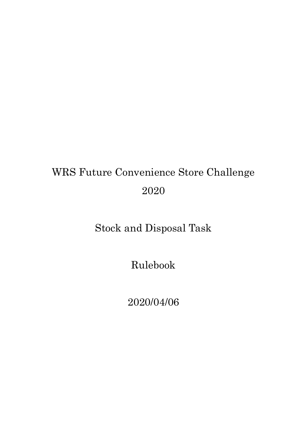# WRS Future Convenience Store Challenge 2020

## Stock and Disposal Task

Rulebook

2020/04/06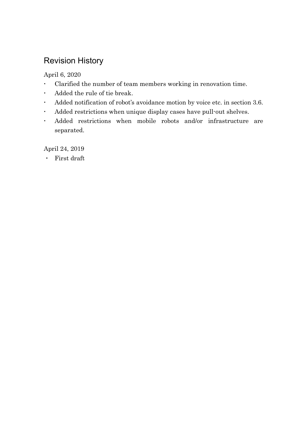## Revision History

April 6, 2020

- Clarified the number of team members working in renovation time.
- Added the rule of tie break.
- Added notification of robot's avoidance motion by voice etc. in section 3.6.
- Added restrictions when unique display cases have pull-out shelves.
- Added restrictions when mobile robots and/or infrastructure are separated.

April 24, 2019

・ First draft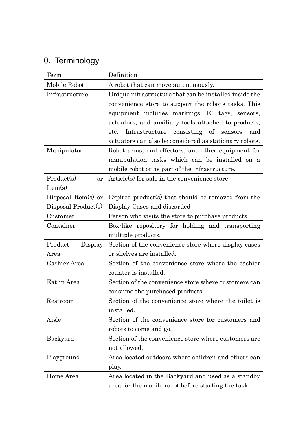## 0. Terminology

| Term                    | Definition                                             |
|-------------------------|--------------------------------------------------------|
| Mobile Robot            | A robot that can move autonomously.                    |
| Infrastructure          | Unique infrastructure that can be installed inside the |
|                         | convenience store to support the robot's tasks. This   |
|                         | equipment includes markings, IC tags, sensors,         |
|                         | actuators, and auxiliary tools attached to products,   |
|                         | Infrastructure consisting of sensors<br>etc.<br>and    |
|                         | actuators can also be considered as stationary robots. |
| Manipulator             | Robot arms, end effectors, and other equipment for     |
|                         | manipulation tasks which can be installed on a         |
|                         | mobile robot or as part of the infrastructure.         |
| Product(s)<br><b>or</b> | Article(s) for sale in the convenience store.          |
| Item(s)                 |                                                        |
| Disposal Item(s) or     | Expired product(s) that should be removed from the     |
| Disposal Product(s)     | Display Cases and discarded                            |
| Customer                | Person who visits the store to purchase products.      |
| Container               | Box-like repository for holding and transporting       |
|                         | multiple products.                                     |
| Product<br>Display      | Section of the convenience store where display cases   |
| Area                    | or shelves are installed.                              |
| Cashier Area            | Section of the convenience store where the cashier     |
|                         | counter is installed.                                  |
| Eat-in Area             | Section of the convenience store where customers can   |
|                         | consume the purchased products.                        |
| Restroom                | Section of the convenience store where the toilet is   |
|                         | installed.                                             |
| Aisle                   | Section of the convenience store for customers and     |
|                         | robots to come and go.                                 |
| Backyard                | Section of the convenience store where customers are   |
|                         | not allowed.                                           |
| Playground              | Area located outdoors where children and others can    |
|                         | play.                                                  |
| Home Area               | Area located in the Backyard and used as a standby     |
|                         | area for the mobile robot before starting the task.    |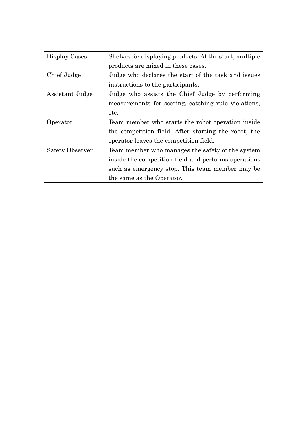| Display Cases   | Shelves for displaying products. At the start, multiple |
|-----------------|---------------------------------------------------------|
|                 | products are mixed in these cases.                      |
| Chief Judge     | Judge who declares the start of the task and issues     |
|                 | instructions to the participants.                       |
| Assistant Judge | Judge who assists the Chief Judge by performing         |
|                 | measurements for scoring, catching rule violations,     |
|                 | etc.                                                    |
| Operator        | Team member who starts the robot operation inside       |
|                 | the competition field. After starting the robot, the    |
|                 | operator leaves the competition field.                  |
| Safety Observer | Team member who manages the safety of the system        |
|                 | inside the competition field and performs operations    |
|                 | such as emergency stop. This team member may be         |
|                 | the same as the Operator.                               |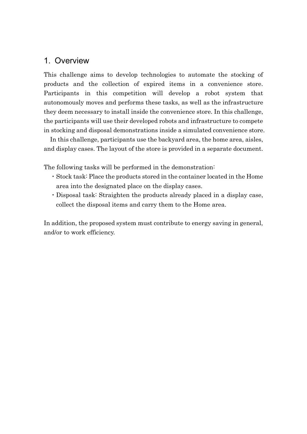#### 1. Overview

This challenge aims to develop technologies to automate the stocking of products and the collection of expired items in a convenience store. Participants in this competition will develop a robot system that autonomously moves and performs these tasks, as well as the infrastructure they deem necessary to install inside the convenience store. In this challenge, the participants will use their developed robots and infrastructure to compete in stocking and disposal demonstrations inside a simulated convenience store.

In this challenge, participants use the backyard area, the home area, aisles, and display cases. The layout of the store is provided in a separate document.

The following tasks will be performed in the demonstration:

- ・Stock task: Place the products stored in the container located in the Home area into the designated place on the display cases.
- ・Disposal task: Straighten the products already placed in a display case, collect the disposal items and carry them to the Home area.

In addition, the proposed system must contribute to energy saving in general, and/or to work efficiency.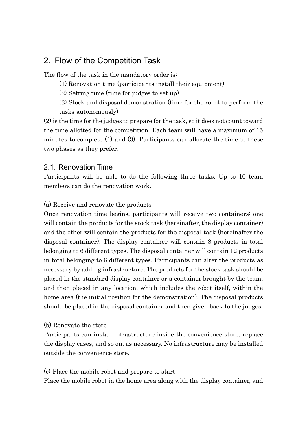### 2. Flow of the Competition Task

The flow of the task in the mandatory order is:

- (1) Renovation time (participants install their equipment)
- (2) Setting time (time for judges to set up)
- (3) Stock and disposal demonstration (time for the robot to perform the tasks autonomously)

(2) is the time for the judges to prepare for the task, so it does not count toward the time allotted for the competition. Each team will have a maximum of 15 minutes to complete (1) and (3). Participants can allocate the time to these two phases as they prefer.

#### 2.1. Renovation Time

Participants will be able to do the following three tasks. Up to 10 team members can do the renovation work.

#### (a) Receive and renovate the products

Once renovation time begins, participants will receive two containers: one will contain the products for the stock task (hereinafter, the display container) and the other will contain the products for the disposal task (hereinafter the disposal container). The display container will contain 8 products in total belonging to 6 different types. The disposal container will contain 12 products in total belonging to 6 different types. Participants can alter the products as necessary by adding infrastructure. The products for the stock task should be placed in the standard display container or a container brought by the team, and then placed in any location, which includes the robot itself, within the home area (the initial position for the demonstration). The disposal products should be placed in the disposal container and then given back to the judges.

#### (b) Renovate the store

Participants can install infrastructure inside the convenience store, replace the display cases, and so on, as necessary. No infrastructure may be installed outside the convenience store.

(c) Place the mobile robot and prepare to start

Place the mobile robot in the home area along with the display container, and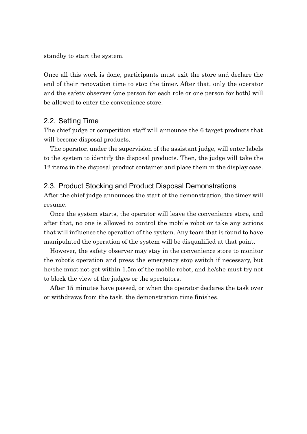standby to start the system.

Once all this work is done, participants must exit the store and declare the end of their renovation time to stop the timer. After that, only the operator and the safety observer (one person for each role or one person for both) will be allowed to enter the convenience store.

#### 2.2. Setting Time

The chief judge or competition staff will announce the 6 target products that will become disposal products.

The operator, under the supervision of the assistant judge, will enter labels to the system to identify the disposal products. Then, the judge will take the 12 items in the disposal product container and place them in the display case.

#### 2.3. Product Stocking and Product Disposal Demonstrations

After the chief judge announces the start of the demonstration, the timer will resume.

Once the system starts, the operator will leave the convenience store, and after that, no one is allowed to control the mobile robot or take any actions that will influence the operation of the system. Any team that is found to have manipulated the operation of the system will be disqualified at that point.

However, the safety observer may stay in the convenience store to monitor the robot's operation and press the emergency stop switch if necessary, but he/she must not get within 1.5m of the mobile robot, and he/she must try not to block the view of the judges or the spectators.

After 15 minutes have passed, or when the operator declares the task over or withdraws from the task, the demonstration time finishes.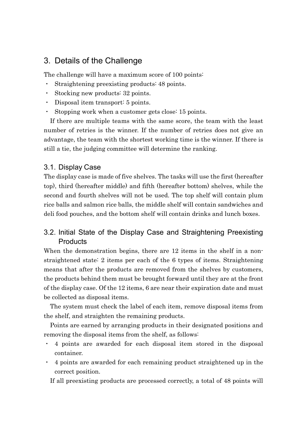### 3. Details of the Challenge

The challenge will have a maximum score of 100 points:

- ・ Straightening preexisting products: 48 points.
- ・ Stocking new products: 32 points.
- ・ Disposal item transport: 5 points.
- Stopping work when a customer gets close: 15 points.

If there are multiple teams with the same score, the team with the least number of retries is the winner. If the number of retries does not give an advantage, the team with the shortest working time is the winner. If there is still a tie, the judging committee will determine the ranking.

#### 3.1. Display Case

The display case is made of five shelves. The tasks will use the first (hereafter top), third (hereafter middle) and fifth (hereafter bottom) shelves, while the second and fourth shelves will not be used. The top shelf will contain plum rice balls and salmon rice balls, the middle shelf will contain sandwiches and deli food pouches, and the bottom shelf will contain drinks and lunch boxes.

#### 3.2. Initial State of the Display Case and Straightening Preexisting **Products**

When the demonstration begins, there are 12 items in the shelf in a nonstraightened state: 2 items per each of the 6 types of items. Straightening means that after the products are removed from the shelves by customers, the products behind them must be brought forward until they are at the front of the display case. Of the 12 items, 6 are near their expiration date and must be collected as disposal items.

The system must check the label of each item, remove disposal items from the shelf, and straighten the remaining products.

Points are earned by arranging products in their designated positions and removing the disposal items from the shelf, as follows:

- ・ 4 points are awarded for each disposal item stored in the disposal container.
- ・ 4 points are awarded for each remaining product straightened up in the correct position.

If all preexisting products are processed correctly, a total of 48 points will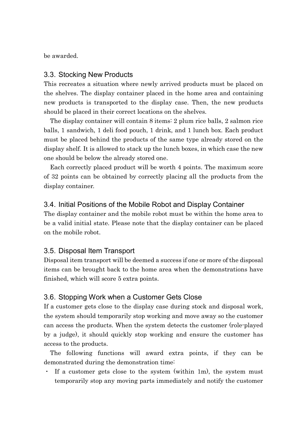be awarded.

#### 3.3. Stocking New Products

This recreates a situation where newly arrived products must be placed on the shelves. The display container placed in the home area and containing new products is transported to the display case. Then, the new products should be placed in their correct locations on the shelves.

The display container will contain 8 items: 2 plum rice balls, 2 salmon rice balls, 1 sandwich, 1 deli food pouch, 1 drink, and 1 lunch box. Each product must be placed behind the products of the same type already stored on the display shelf. It is allowed to stack up the lunch boxes, in which case the new one should be below the already stored one.

Each correctly placed product will be worth 4 points. The maximum score of 32 points can be obtained by correctly placing all the products from the display container.

#### 3.4. Initial Positions of the Mobile Robot and Display Container

The display container and the mobile robot must be within the home area to be a valid initial state. Please note that the display container can be placed on the mobile robot.

#### 3.5. Disposal Item Transport

Disposal item transport will be deemed a success if one or more of the disposal items can be brought back to the home area when the demonstrations have finished, which will score 5 extra points.

#### 3.6. Stopping Work when a Customer Gets Close

If a customer gets close to the display case during stock and disposal work, the system should temporarily stop working and move away so the customer can access the products. When the system detects the customer (role-played by a judge), it should quickly stop working and ensure the customer has access to the products.

The following functions will award extra points, if they can be demonstrated during the demonstration time:

・ If a customer gets close to the system (within 1m), the system must temporarily stop any moving parts immediately and notify the customer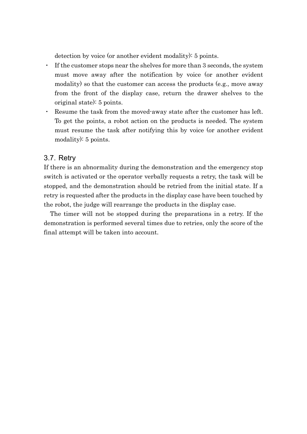detection by voice (or another evident modality): 5 points.

- ・ If the customer stops near the shelves for more than 3 seconds, the system must move away after the notification by voice (or another evident modality) so that the customer can access the products (e.g., move away from the front of the display case, return the drawer shelves to the original state): 5 points.
- ・ Resume the task from the moved-away state after the customer has left. To get the points, a robot action on the products is needed. The system must resume the task after notifying this by voice (or another evident modality): 5 points.

#### 3.7. Retry

If there is an abnormality during the demonstration and the emergency stop switch is activated or the operator verbally requests a retry, the task will be stopped, and the demonstration should be retried from the initial state. If a retry is requested after the products in the display case have been touched by the robot, the judge will rearrange the products in the display case.

The timer will not be stopped during the preparations in a retry. If the demonstration is performed several times due to retries, only the score of the final attempt will be taken into account.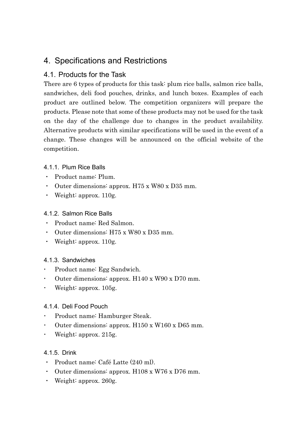## 4. Specifications and Restrictions

#### 4.1. Products for the Task

There are 6 types of products for this task: plum rice balls, salmon rice balls, sandwiches, deli food pouches, drinks, and lunch boxes. Examples of each product are outlined below. The competition organizers will prepare the products. Please note that some of these products may not be used for the task on the day of the challenge due to changes in the product availability. Alternative products with similar specifications will be used in the event of a change. These changes will be announced on the official website of the competition.

#### 4.1.1. Plum Rice Balls

- ・ Product name: Plum.
- ・ Outer dimensions: approx. H75 x W80 x D35 mm.
- Weight: approx.  $110$ g.

#### 4.1.2. Salmon Rice Balls

- ・ Product name: Red Salmon.
- ・ Outer dimensions: H75 x W80 x D35 mm.
- ・ Weight: approx. 110g.

#### 4.1.3. Sandwiches

- Product name: Egg Sandwich.
- Outer dimensions: approx. H140 x W90 x D70 mm.
- Weight: approx. 105g.

#### 4.1.4. Deli Food Pouch

- Product name: Hamburger Steak.
- Outer dimensions: approx. H150 x W160 x D65 mm.
- Weight: approx. 215g.

#### 4.1.5. Drink

- ・ Product name: Café Latte (240 ml).
- ・ Outer dimensions: approx. H108 x W76 x D76 mm.
- ・ Weight: approx. 260g.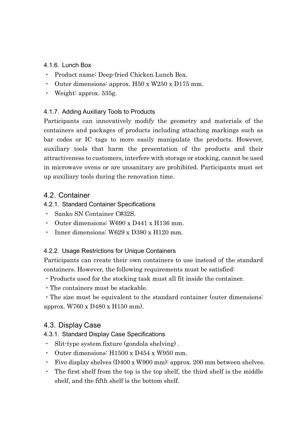#### 4.1.6. Lunch Box

- ・ Product name: Deep-fried Chicken Lunch Box.
- ・ Outer dimensions: approx. H50 x W250 x D175 mm.
- Weight: approx.  $535g$ .

#### 4.1.7. Adding Auxiliary Tools to Products

Participants can innovatively modify the geometry and materials of the containers and packages of products including attaching markings such as bar codes or IC tags to more easily manipulate the products. However, auxiliary tools that harm the presentation of the products and their attractiveness to customers, interfere with storage or stocking, cannot be used in microwave ovens or are unsanitary are prohibited. Participants must set up auxiliary tools during the renovation time.

#### 4.2. Container

#### 4.2.1. Standard Container Specifications

- ・ Sanko SN Container C#32S.
- ・ Outer dimensions: W690 x D441 x H136 mm.
- ・ Inner dimensions: W629 x D380 x H120 mm.

#### 4.2.2. Usage Restrictions for Unique Containers

Participants can create their own containers to use instead of the standard containers. However, the following requirements must be satisfied:

- ・Products used for the stocking task must all fit inside the container.
- ・The containers must be stackable.

・The size must be equivalent to the standard container (outer dimensions: approx. W760 x D480 x H150 mm).

#### 4.3. Display Case

4.3.1. Standard Display Case Specifications

- ・ Slit-type system fixture (gondola shelving) .
- ・ Outer dimensions: H1500 x D454 x W950 mm.
- ・ Five display shelves (D400 x W900 mm): approx. 200 mm between shelves.
- ・ The first shelf from the top is the top shelf, the third shelf is the middle shelf, and the fifth shelf is the bottom shelf.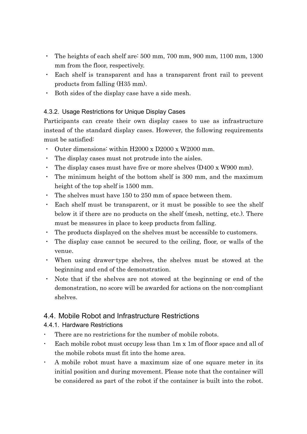- ・ The heights of each shelf are: 500 mm, 700 mm, 900 mm, 1100 mm, 1300 mm from the floor, respectively.
- ・ Each shelf is transparent and has a transparent front rail to prevent products from falling (H35 mm).
- ・ Both sides of the display case have a side mesh.

#### 4.3.2. Usage Restrictions for Unique Display Cases

Participants can create their own display cases to use as infrastructure instead of the standard display cases. However, the following requirements must be satisfied:

- ・ Outer dimensions: within H2000 x D2000 x W2000 mm.
- The display cases must not protrude into the aisles.
- The display cases must have five or more shelves  $(D400 \times W900 \text{ mm})$ .
- ・ The minimum height of the bottom shelf is 300 mm, and the maximum height of the top shelf is 1500 mm.
- ・ The shelves must have 150 to 250 mm of space between them.
- ・ Each shelf must be transparent, or it must be possible to see the shelf below it if there are no products on the shelf (mesh, netting, etc.). There must be measures in place to keep products from falling.
- ・ The products displayed on the shelves must be accessible to customers.
- ・ The display case cannot be secured to the ceiling, floor, or walls of the venue.
- ・ When using drawer-type shelves, the shelves must be stowed at the beginning and end of the demonstration.
- ・ Note that if the shelves are not stowed at the beginning or end of the demonstration, no score will be awarded for actions on the non-compliant shelves.

#### 4.4. Mobile Robot and Infrastructure Restrictions

#### 4.4.1. Hardware Restrictions

- There are no restrictions for the number of mobile robots.
- Each mobile robot must occupy less than 1m x 1m of floor space and all of the mobile robots must fit into the home area.
- A mobile robot must have a maximum size of one square meter in its initial position and during movement. Please note that the container will be considered as part of the robot if the container is built into the robot.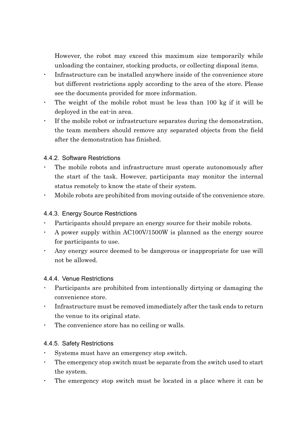However, the robot may exceed this maximum size temporarily while unloading the container, stocking products, or collecting disposal items.

- Infrastructure can be installed anywhere inside of the convenience store but different restrictions apply according to the area of the store. Please see the documents provided for more information.
- The weight of the mobile robot must be less than 100 kg if it will be deployed in the eat-in area.
- If the mobile robot or infrastructure separates during the demonstration, the team members should remove any separated objects from the field after the demonstration has finished.

#### 4.4.2. Software Restrictions

- The mobile robots and infrastructure must operate autonomously after the start of the task. However, participants may monitor the internal status remotely to know the state of their system.
- Mobile robots are prohibited from moving outside of the convenience store.

#### 4.4.3. Energy Source Restrictions

- Participants should prepare an energy source for their mobile robots.
- A power supply within AC100V/1500W is planned as the energy source for participants to use.
- Any energy source deemed to be dangerous or inappropriate for use will not be allowed.

#### 4.4.4. Venue Restrictions

- Participants are prohibited from intentionally dirtying or damaging the convenience store.
- Infrastructure must be removed immediately after the task ends to return the venue to its original state.
- The convenience store has no ceiling or walls.

#### 4.4.5. Safety Restrictions

- Systems must have an emergency stop switch.
- The emergency stop switch must be separate from the switch used to start the system.
- The emergency stop switch must be located in a place where it can be